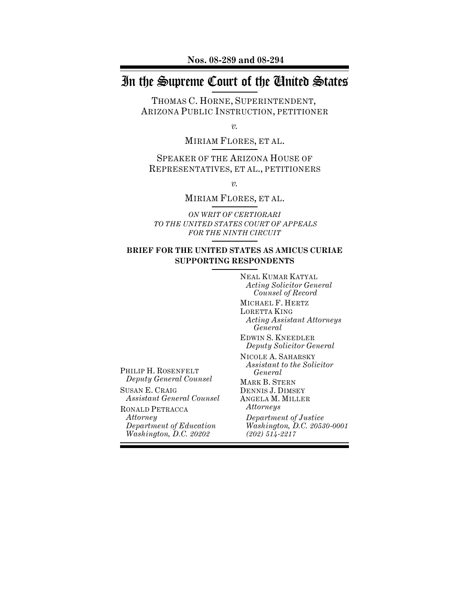**Nos. 08-289 and 08-294**

# In the Supreme Court of the United States

THOMAS C. HORNE, SUPERINTENDENT, ARIZONA PUBLIC INSTRUCTION, PETITIONER

*v.*

MIRIAM FLORES, ET AL.

SPEAKER OF THE ARIZONA HOUSE OF REPRESENTATIVES, ET AL., PETITIONERS

*v.*

# MIRIAM FLORES, ET AL.

*ON WRIT OF CERTIORARI TO THE UNITED STATES COURT OF APPEALS FOR THE NINTH CIRCUIT*

# **BRIEF FOR THE UNITED STATES AS AMICUS CURIAE SUPPORTING RESPONDENTS**

NEAL KUMAR KATYAL *Acting Solicitor General Counsel of Record* MICHAEL F. HERTZ LORETTA KING *Acting Assistant Attorneys General* EDWIN S. KNEEDLER *Deputy Solicitor General* NICOLE A. SAHARSKY *Assistant to the Solicitor General* MARK B. STERN DENNIS J. DIMSEY ANGELA M. MILLER *Attorneys Department of Justice Washington, D.C. 20530-0001 (202) 514-2217*

PHILIP H. ROSENFELT *Deputy General Counsel*

SUSAN E. CRAIG *Assistant General Counsel*

RONALD PETRACCA *Attorney Department of Education Washington, D.C. 20202*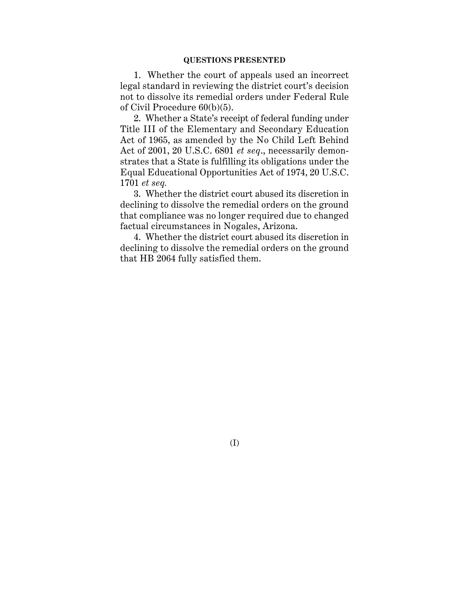1. Whether the court of appeals used an incorrect legal standard in reviewing the district court's decision not to dissolve its remedial orders under Federal Rule of Civil Procedure 60(b)(5).

2. Whether a State's receipt of federal funding under Title III of the Elementary and Secondary Education Act of 1965, as amended by the No Child Left Behind Act of 2001, 20 U.S.C. 6801 *et seq*., necessarily demonstrates that a State is fulfilling its obligations under the Equal Educational Opportunities Act of 1974, 20 U.S.C. 1701 *et seq.*

3. Whether the district court abused its discretion in declining to dissolve the remedial orders on the ground that compliance was no longer required due to changed factual circumstances in Nogales, Arizona.

4. Whether the district court abused its discretion in declining to dissolve the remedial orders on the ground that HB 2064 fully satisfied them.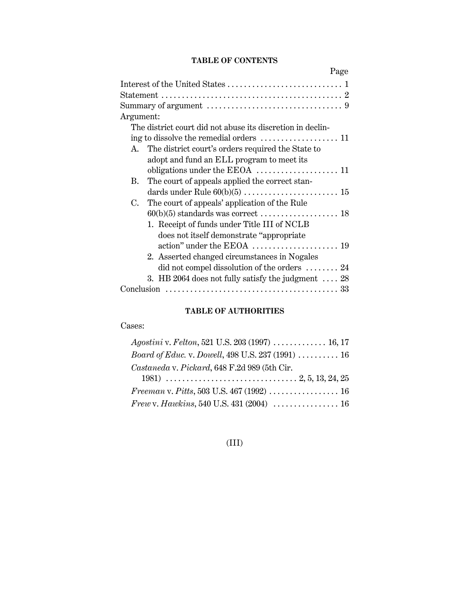# **TABLE OF CONTENTS**

| Page                                                                    |
|-------------------------------------------------------------------------|
|                                                                         |
|                                                                         |
|                                                                         |
| Argument:                                                               |
| The district court did not abuse its discretion in declin-              |
| ing to dissolve the remedial orders $\dots\dots\dots\dots\dots\dots 11$ |
| The district court's orders required the State to<br>$A_{\cdot}$        |
| adopt and fund an ELL program to meet its                               |
|                                                                         |
| The court of appeals applied the correct stan-<br>B.                    |
|                                                                         |
| The court of appeals' application of the Rule<br>$C_{\cdot}$            |
|                                                                         |
| 1. Receipt of funds under Title III of NCLB                             |
| does not itself demonstrate "appropriate"                               |
|                                                                         |
| 2. Asserted changed circumstances in Nogales                            |
| did not compel dissolution of the orders $\dots \dots 24$               |
| 3. HB 2064 does not fully satisfy the judgment $\ldots$ 28              |
|                                                                         |

# **TABLE OF AUTHORITIES**

# Cases:

| $A$ <i>gostini</i> v. <i>Felton</i> , 521 U.S. 203 (1997)  16, 17 |  |
|-------------------------------------------------------------------|--|
| <i>Board of Educ. v. Dowell, 498 U.S. 237 (1991)  16</i>          |  |
| Castaneda v. Pickard, 648 F.2d 989 (5th Cir.                      |  |
|                                                                   |  |
|                                                                   |  |
|                                                                   |  |

# (III)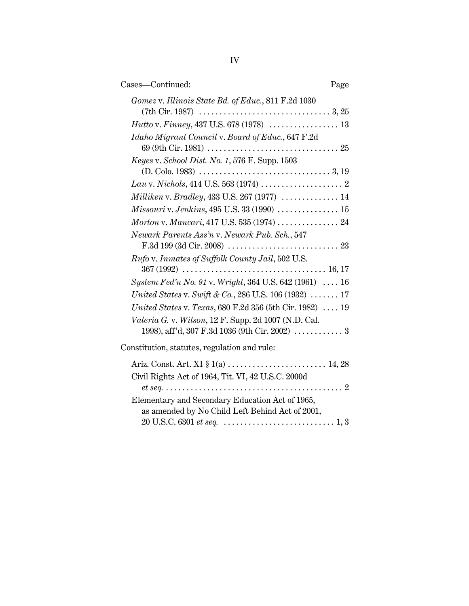| Cases-Continued:                                                                                   | Page |
|----------------------------------------------------------------------------------------------------|------|
| Gomez v. Illinois State Bd. of Educ., 811 F.2d 1030                                                |      |
|                                                                                                    |      |
| Idaho Migrant Council v. Board of Educ., 647 F.2d                                                  |      |
|                                                                                                    |      |
| Keyes v. School Dist. No. 1, 576 F. Supp. 1503                                                     |      |
|                                                                                                    |      |
|                                                                                                    |      |
|                                                                                                    |      |
|                                                                                                    |      |
| Newark Parents Ass'n v. Newark Pub. Sch., 547                                                      |      |
| Rufo v. Inmates of Suffolk County Jail, 502 U.S.                                                   |      |
| System Fed'n No. 91 v. Wright, 364 U.S. 642 (1961)  16                                             |      |
| United States v. Swift & Co., 286 U.S. 106 (1932) $\ldots \ldots$ 17                               |      |
| United States v. Texas, 680 F.2d 356 (5th Cir. 1982)  19                                           |      |
| Valeria G. v. Wilson, 12 F. Supp. 2d 1007 (N.D. Cal.                                               |      |
| 1998), aff'd, 307 F.3d 1036 (9th Cir. 2002) $\ldots \ldots \ldots \ldots$                          |      |
| Constitution, statutes, regulation and rule:                                                       |      |
| Ariz. Const. Art. XI § 1(a)  14, 28                                                                |      |
| Civil Rights Act of 1964, Tit. VI, 42 U.S.C. 2000d                                                 |      |
| Elementary and Secondary Education Act of 1965,<br>as amended by No Child Left Behind Act of 2001, |      |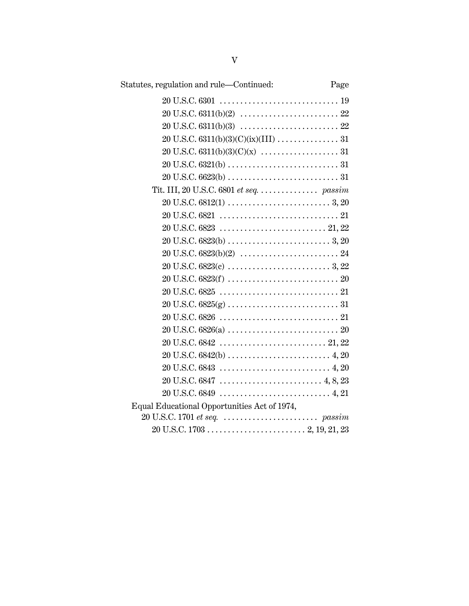| Statutes, regulation and rule—Continued:                          | Page |
|-------------------------------------------------------------------|------|
|                                                                   |      |
|                                                                   |      |
|                                                                   |      |
|                                                                   |      |
|                                                                   |      |
|                                                                   |      |
|                                                                   |      |
| Tit. III, 20 U.S.C. 6801 et seq. $\dots \dots \dots \dots$ passim |      |
|                                                                   |      |
|                                                                   |      |
|                                                                   |      |
|                                                                   |      |
|                                                                   |      |
|                                                                   |      |
|                                                                   |      |
|                                                                   |      |
|                                                                   |      |
|                                                                   |      |
|                                                                   |      |
|                                                                   |      |
|                                                                   |      |
|                                                                   |      |
|                                                                   |      |
|                                                                   |      |
| Equal Educational Opportunities Act of 1974,                      |      |
|                                                                   |      |
|                                                                   |      |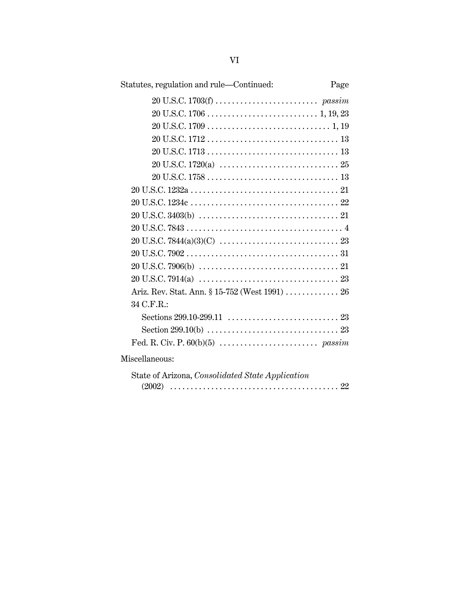| Statutes, regulation and rule-Continued:<br>Page |
|--------------------------------------------------|
|                                                  |
|                                                  |
|                                                  |
|                                                  |
|                                                  |
|                                                  |
|                                                  |
|                                                  |
|                                                  |
|                                                  |
|                                                  |
|                                                  |
|                                                  |
|                                                  |
|                                                  |
| Ariz. Rev. Stat. Ann. § 15-752 (West 1991)  26   |
| 34 C.F.R.:                                       |
|                                                  |
|                                                  |
|                                                  |
| Miscellaneous:                                   |

| State of Arizona, Consolidated State Application |  |  |  |  |
|--------------------------------------------------|--|--|--|--|
|                                                  |  |  |  |  |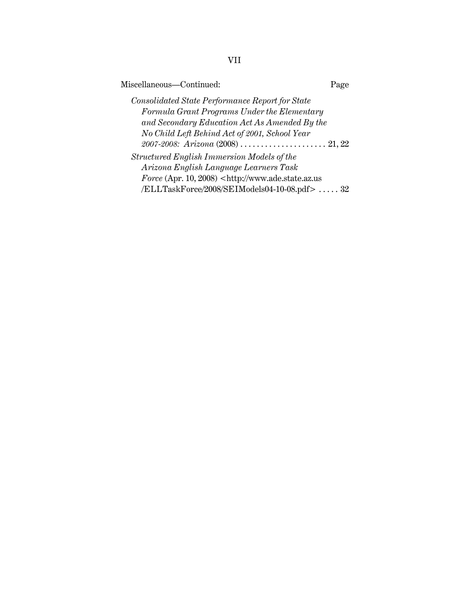| Miscellaneous-Continued: | Page |
|--------------------------|------|
|--------------------------|------|

*Consolidated State Performance Report for State Formula Grant Programs Under the Elementary and Secondary Education Act As Amended By the No Child Left Behind Act of 2001, School Year 2007-2008: Arizona* (2008) . . . . . . . . . . . . . . . . . . . . . 21, 22 *Structured English Immersion Models of the*

*Arizona English Language Learners Task Force* (Apr. 10, 2008) <http://www.ade.state.az.us /ELLTaskForce/2008/SEIModels04-10-08.pdf> . . . . . 32

VII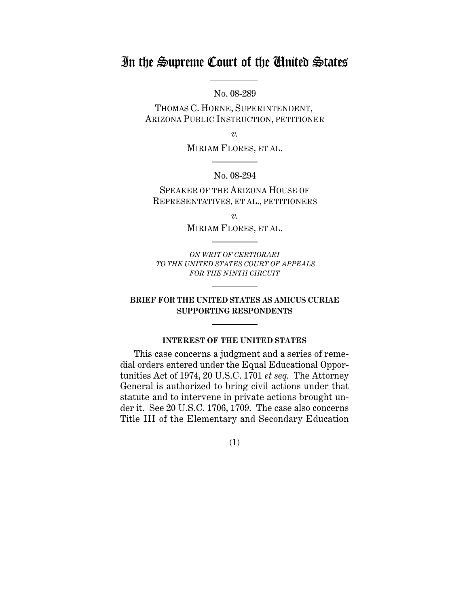# In the Supreme Court of the United States

No. 08-289

THOMAS C. HORNE, SUPERINTENDENT, ARIZONA PUBLIC INSTRUCTION, PETITIONER

*v.*

MIRIAM FLORES, ET AL.

No. 08-294

SPEAKER OF THE ARIZONA HOUSE OF REPRESENTATIVES, ET AL., PETITIONERS

*v.*

MIRIAM FLORES, ET AL.

*ON WRIT OF CERTIORARI TO THE UNITED STATES COURT OF APPEALS FOR THE NINTH CIRCUIT*

# **BRIEF FOR THE UNITED STATES AS AMICUS CURIAE SUPPORTING RESPONDENTS**

# **INTEREST OF THE UNITED STATES**

This case concerns a judgment and a series of remedial orders entered under the Equal Educational Opportunities Act of 1974, 20 U.S.C. 1701 *et seq.* The Attorney General is authorized to bring civil actions under that statute and to intervene in private actions brought under it. See 20 U.S.C. 1706, 1709. The case also concerns Title III of the Elementary and Secondary Education

(1)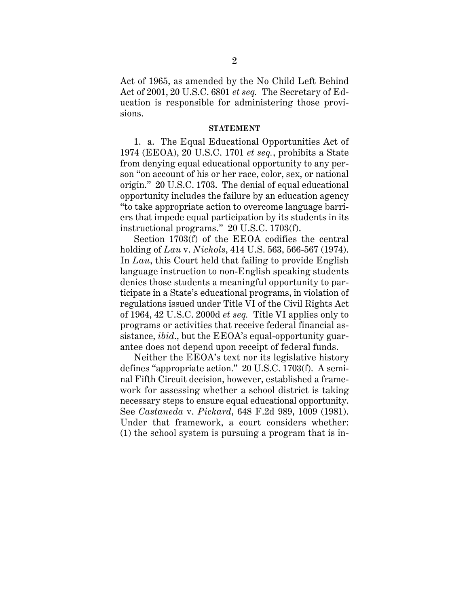Act of 1965, as amended by the No Child Left Behind Act of 2001, 20 U.S.C. 6801 *et seq.* The Secretary of Education is responsible for administering those provisions.

#### **STATEMENT**

1. a. The Equal Educational Opportunities Act of 1974 (EEOA), 20 U.S.C. 1701 *et seq.*, prohibits a State from denying equal educational opportunity to any person "on account of his or her race, color, sex, or national origin." 20 U.S.C. 1703. The denial of equal educational opportunity includes the failure by an education agency "to take appropriate action to overcome language barriers that impede equal participation by its students in its instructional programs." 20 U.S.C. 1703(f).

Section 1703(f) of the EEOA codifies the central holding of *Lau* v. *Nichols*, 414 U.S. 563, 566-567 (1974). In *Lau*, this Court held that failing to provide English language instruction to non-English speaking students denies those students a meaningful opportunity to participate in a State's educational programs, in violation of regulations issued under Title VI of the Civil Rights Act of 1964, 42 U.S.C. 2000d *et seq.* Title VI applies only to programs or activities that receive federal financial assistance, *ibid*., but the EEOA's equal-opportunity guarantee does not depend upon receipt of federal funds.

Neither the EEOA's text nor its legislative history defines "appropriate action." 20 U.S.C. 1703(f). A seminal Fifth Circuit decision, however, established a framework for assessing whether a school district is taking necessary steps to ensure equal educational opportunity. See *Castaneda* v. *Pickard*, 648 F.2d 989, 1009 (1981). Under that framework, a court considers whether: (1) the school system is pursuing a program that is in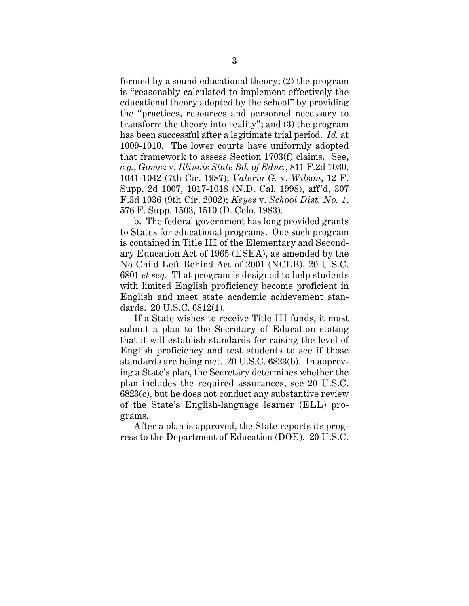formed by a sound educational theory; (2) the program is "reasonably calculated to implement effectively the educational theory adopted by the school" by providing the "practices, resources and personnel necessary to transform the theory into reality"; and (3) the program has been successful after a legitimate trial period. *Id.* at 1009-1010. The lower courts have uniformly adopted that framework to assess Section 1703(f) claims. See, *e.g.*, *Gomez* v. *Illinois State Bd. of Educ.*, 811 F.2d 1030, 1041-1042 (7th Cir. 1987); *Valeria G.* v. *Wilson*, 12 F. Supp. 2d 1007, 1017-1018 (N.D. Cal. 1998), aff'd, 307 F.3d 1036 (9th Cir. 2002); *Keyes* v. *School Dist. No. 1*, 576 F. Supp. 1503, 1510 (D. Colo. 1983).

b. The federal government has long provided grants to States for educational programs. One such program is contained in Title III of the Elementary and Secondary Education Act of 1965 (ESEA), as amended by the No Child Left Behind Act of 2001 (NCLB), 20 U.S.C. 6801 *et seq.* That program is designed to help students with limited English proficiency become proficient in English and meet state academic achievement standards. 20 U.S.C. 6812(1).

If a State wishes to receive Title III funds, it must submit a plan to the Secretary of Education stating that it will establish standards for raising the level of English proficiency and test students to see if those standards are being met. 20 U.S.C. 6823(b). In approving a State's plan, the Secretary determines whether the plan includes the required assurances, see 20 U.S.C. 6823(c), but he does not conduct any substantive review of the State's English-language learner (ELL) programs.

After a plan is approved, the State reports its progress to the Department of Education (DOE). 20 U.S.C.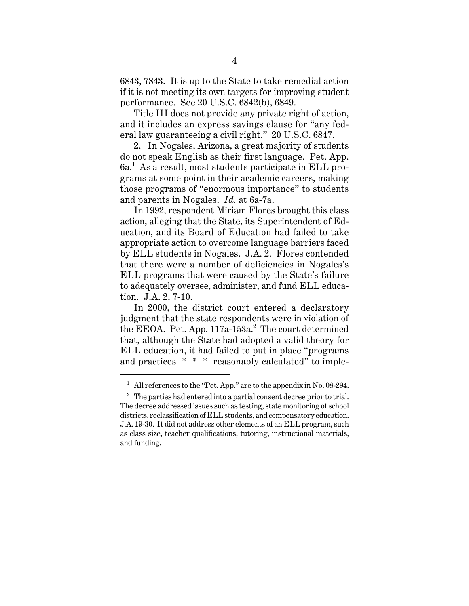6843, 7843. It is up to the State to take remedial action if it is not meeting its own targets for improving student performance. See 20 U.S.C. 6842(b), 6849.

Title III does not provide any private right of action, and it includes an express savings clause for "any federal law guaranteeing a civil right." 20 U.S.C. 6847.

2. In Nogales, Arizona, a great majority of students do not speak English as their first language. Pet. App.  $6\mathrm{a}^{1}$  As a result, most students participate in ELL programs at some point in their academic careers, making those programs of "enormous importance" to students and parents in Nogales. *Id.* at 6a-7a.

In 1992, respondent Miriam Flores brought this class action, alleging that the State, its Superintendent of Education, and its Board of Education had failed to take appropriate action to overcome language barriers faced by ELL students in Nogales. J.A. 2. Flores contended that there were a number of deficiencies in Nogales's ELL programs that were caused by the State's failure to adequately oversee, administer, and fund ELL education. J.A. 2, 7-10.

In 2000, the district court entered a declaratory judgment that the state respondents were in violation of the EEOA. Pet. App.  $117a-153a.$ <sup>2</sup> The court determined that, although the State had adopted a valid theory for ELL education, it had failed to put in place "programs and practices \* \* \* reasonably calculated" to imple-

<sup>&</sup>lt;sup>1</sup> All references to the "Pet. App." are to the appendix in No. 08-294.

<sup>&</sup>lt;sup>2</sup> The parties had entered into a partial consent decree prior to trial. The decree addressed issues such as testing, state monitoring of school districts, reclassification of ELL students, and compensatory education. J.A. 19-30. It did not address other elements of an ELL program, such as class size, teacher qualifications, tutoring, instructional materials, and funding.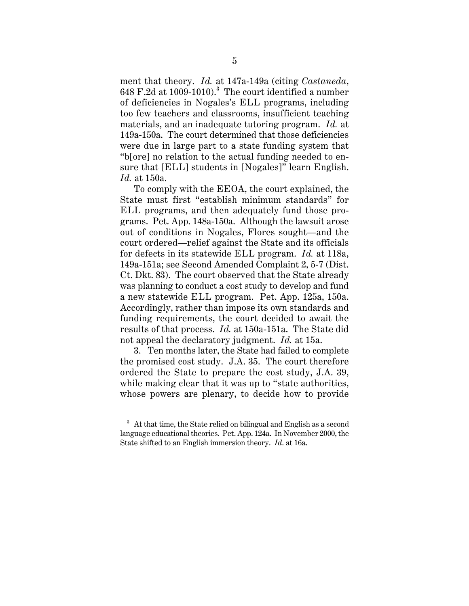ment that theory. *Id.* at 147a-149a (citing *Castaneda*,  $648$  F.2d at 1009-1010). $^3$  The court identified a number of deficiencies in Nogales's ELL programs, including too few teachers and classrooms, insufficient teaching materials, and an inadequate tutoring program. *Id.* at 149a-150a. The court determined that those deficiencies were due in large part to a state funding system that "b[ore] no relation to the actual funding needed to ensure that [ELL] students in [Nogales]" learn English. *Id.* at 150a.

To comply with the EEOA, the court explained, the State must first "establish minimum standards" for ELL programs, and then adequately fund those programs. Pet. App. 148a-150a. Although the lawsuit arose out of conditions in Nogales, Flores sought—and the court ordered—relief against the State and its officials for defects in its statewide ELL program. *Id.* at 118a, 149a-151a; see Second Amended Complaint 2, 5-7 (Dist. Ct. Dkt. 83). The court observed that the State already was planning to conduct a cost study to develop and fund a new statewide ELL program. Pet. App. 125a, 150a. Accordingly, rather than impose its own standards and funding requirements, the court decided to await the results of that process. *Id.* at 150a-151a. The State did not appeal the declaratory judgment. *Id.* at 15a.

3. Ten months later, the State had failed to complete the promised cost study. J.A. 35. The court therefore ordered the State to prepare the cost study, J.A. 39, while making clear that it was up to "state authorities, whose powers are plenary, to decide how to provide

<sup>&</sup>lt;sup>3</sup> At that time, the State relied on bilingual and English as a second language educational theories. Pet. App. 124a. In November 2000, the State shifted to an English immersion theory. *Id*. at 16a.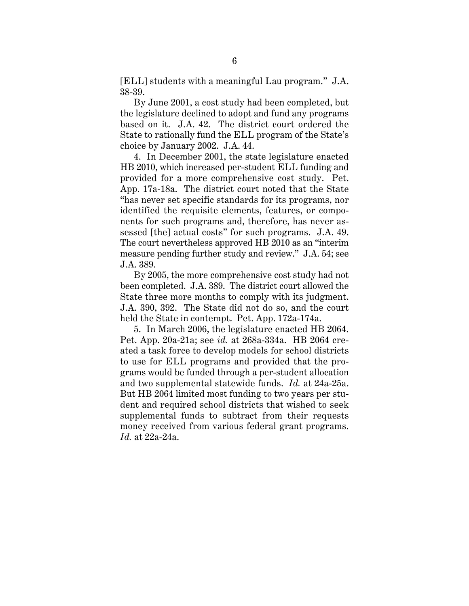[ELL] students with a meaningful Lau program." J.A. 38-39.

By June 2001, a cost study had been completed, but the legislature declined to adopt and fund any programs based on it. J.A. 42. The district court ordered the State to rationally fund the ELL program of the State's choice by January 2002. J.A. 44.

4. In December 2001, the state legislature enacted HB 2010, which increased per-student ELL funding and provided for a more comprehensive cost study. Pet. App. 17a-18a. The district court noted that the State "has never set specific standards for its programs, nor identified the requisite elements, features, or components for such programs and, therefore, has never assessed [the] actual costs" for such programs. J.A. 49. The court nevertheless approved HB 2010 as an "interim measure pending further study and review." J.A. 54; see J.A. 389.

By 2005, the more comprehensive cost study had not been completed. J.A. 389. The district court allowed the State three more months to comply with its judgment. J.A. 390, 392. The State did not do so, and the court held the State in contempt. Pet. App. 172a-174a.

5. In March 2006, the legislature enacted HB 2064. Pet. App. 20a-21a; see *id.* at 268a-334a. HB 2064 created a task force to develop models for school districts to use for ELL programs and provided that the programs would be funded through a per-student allocation and two supplemental statewide funds. *Id.* at 24a-25a. But HB 2064 limited most funding to two years per student and required school districts that wished to seek supplemental funds to subtract from their requests money received from various federal grant programs. *Id.* at 22a-24a.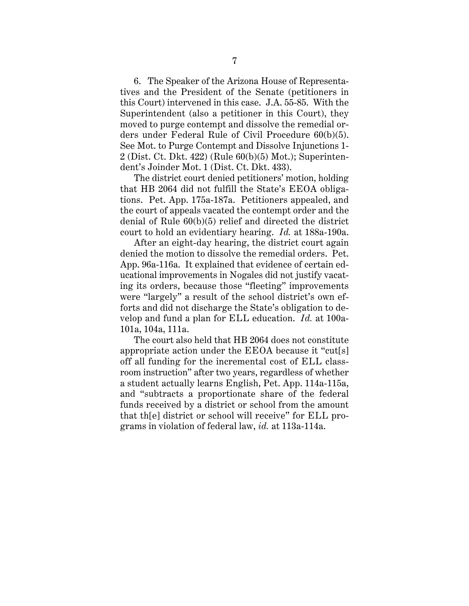6. The Speaker of the Arizona House of Representatives and the President of the Senate (petitioners in this Court) intervened in this case. J.A. 55-85. With the Superintendent (also a petitioner in this Court), they moved to purge contempt and dissolve the remedial orders under Federal Rule of Civil Procedure 60(b)(5). See Mot. to Purge Contempt and Dissolve Injunctions 1- 2 (Dist. Ct. Dkt. 422) (Rule 60(b)(5) Mot.); Superintendent's Joinder Mot. 1 (Dist. Ct. Dkt. 433).

The district court denied petitioners' motion, holding that HB 2064 did not fulfill the State's EEOA obligations. Pet. App. 175a-187a. Petitioners appealed, and the court of appeals vacated the contempt order and the denial of Rule 60(b)(5) relief and directed the district court to hold an evidentiary hearing. *Id.* at 188a-190a.

After an eight-day hearing, the district court again denied the motion to dissolve the remedial orders. Pet. App. 96a-116a. It explained that evidence of certain educational improvements in Nogales did not justify vacating its orders, because those "fleeting" improvements were "largely" a result of the school district's own efforts and did not discharge the State's obligation to develop and fund a plan for ELL education. *Id.* at 100a-101a, 104a, 111a.

The court also held that HB 2064 does not constitute appropriate action under the EEOA because it "cut[s] off all funding for the incremental cost of ELL classroom instruction" after two years, regardless of whether a student actually learns English, Pet. App. 114a-115a, and "subtracts a proportionate share of the federal funds received by a district or school from the amount that th[e] district or school will receive" for ELL programs in violation of federal law, *id.* at 113a-114a.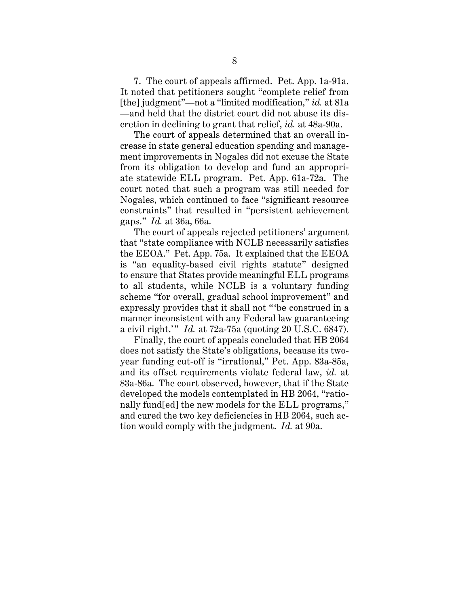7. The court of appeals affirmed. Pet. App. 1a-91a. It noted that petitioners sought "complete relief from [the] judgment"—not a "limited modification," *id.* at 81a —and held that the district court did not abuse its discretion in declining to grant that relief, *id.* at 48a-90a.

The court of appeals determined that an overall increase in state general education spending and management improvements in Nogales did not excuse the State from its obligation to develop and fund an appropriate statewide ELL program. Pet. App. 61a-72a. The court noted that such a program was still needed for Nogales, which continued to face "significant resource constraints" that resulted in "persistent achievement gaps." *Id.* at 36a, 66a.

The court of appeals rejected petitioners' argument that "state compliance with NCLB necessarily satisfies the EEOA." Pet. App. 75a. It explained that the EEOA is "an equality-based civil rights statute" designed to ensure that States provide meaningful ELL programs to all students, while NCLB is a voluntary funding scheme "for overall, gradual school improvement" and expressly provides that it shall not "'be construed in a manner inconsistent with any Federal law guaranteeing a civil right.'" *Id.* at 72a-75a (quoting 20 U.S.C. 6847).

Finally, the court of appeals concluded that HB 2064 does not satisfy the State's obligations, because its twoyear funding cut-off is "irrational," Pet. App. 83a-85a, and its offset requirements violate federal law, *id.* at 83a-86a. The court observed, however, that if the State developed the models contemplated in HB 2064, "rationally fund[ed] the new models for the ELL programs," and cured the two key deficiencies in HB 2064, such action would comply with the judgment. *Id.* at 90a.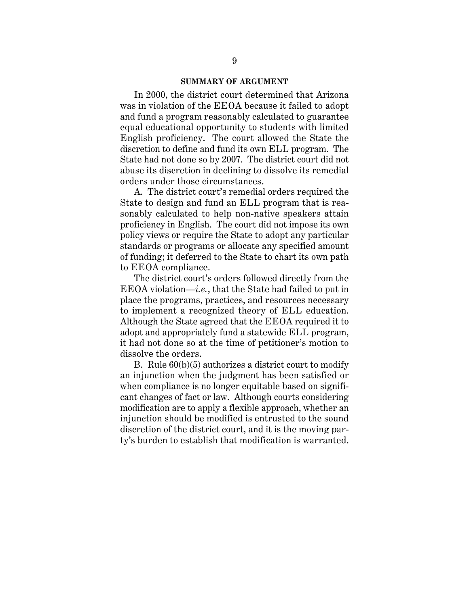#### **SUMMARY OF ARGUMENT**

In 2000, the district court determined that Arizona was in violation of the EEOA because it failed to adopt and fund a program reasonably calculated to guarantee equal educational opportunity to students with limited English proficiency. The court allowed the State the discretion to define and fund its own ELL program. The State had not done so by 2007. The district court did not abuse its discretion in declining to dissolve its remedial orders under those circumstances.

A. The district court's remedial orders required the State to design and fund an ELL program that is reasonably calculated to help non-native speakers attain proficiency in English. The court did not impose its own policy views or require the State to adopt any particular standards or programs or allocate any specified amount of funding; it deferred to the State to chart its own path to EEOA compliance.

The district court's orders followed directly from the EEOA violation—*i.e.*, that the State had failed to put in place the programs, practices, and resources necessary to implement a recognized theory of ELL education. Although the State agreed that the EEOA required it to adopt and appropriately fund a statewide ELL program, it had not done so at the time of petitioner's motion to dissolve the orders.

B. Rule 60(b)(5) authorizes a district court to modify an injunction when the judgment has been satisfied or when compliance is no longer equitable based on significant changes of fact or law. Although courts considering modification are to apply a flexible approach, whether an injunction should be modified is entrusted to the sound discretion of the district court, and it is the moving party's burden to establish that modification is warranted.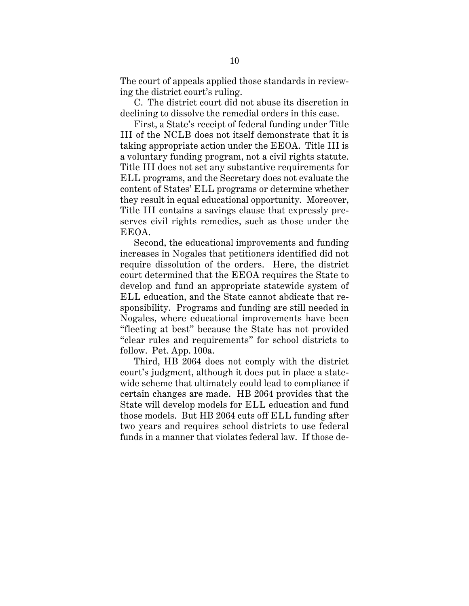The court of appeals applied those standards in reviewing the district court's ruling.

C. The district court did not abuse its discretion in declining to dissolve the remedial orders in this case.

First, a State's receipt of federal funding under Title III of the NCLB does not itself demonstrate that it is taking appropriate action under the EEOA. Title III is a voluntary funding program, not a civil rights statute. Title III does not set any substantive requirements for ELL programs, and the Secretary does not evaluate the content of States' ELL programs or determine whether they result in equal educational opportunity. Moreover, Title III contains a savings clause that expressly preserves civil rights remedies, such as those under the EEOA.

Second, the educational improvements and funding increases in Nogales that petitioners identified did not require dissolution of the orders. Here, the district court determined that the EEOA requires the State to develop and fund an appropriate statewide system of ELL education, and the State cannot abdicate that responsibility. Programs and funding are still needed in Nogales, where educational improvements have been "fleeting at best" because the State has not provided "clear rules and requirements" for school districts to follow. Pet. App. 100a.

Third, HB 2064 does not comply with the district court's judgment, although it does put in place a statewide scheme that ultimately could lead to compliance if certain changes are made. HB 2064 provides that the State will develop models for ELL education and fund those models. But HB 2064 cuts off ELL funding after two years and requires school districts to use federal funds in a manner that violates federal law. If those de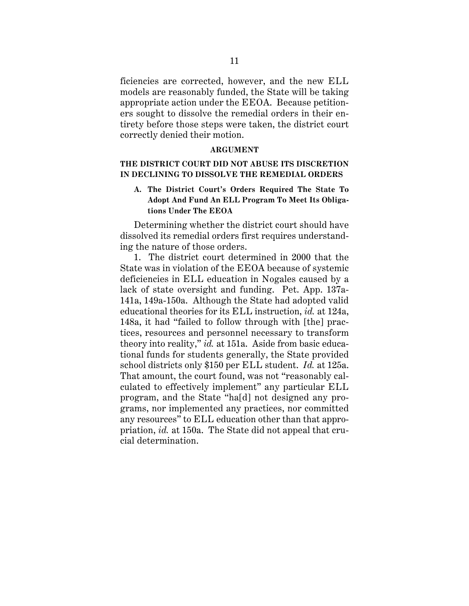ficiencies are corrected, however, and the new ELL models are reasonably funded, the State will be taking appropriate action under the EEOA. Because petitioners sought to dissolve the remedial orders in their entirety before those steps were taken, the district court correctly denied their motion.

#### **ARGUMENT**

# **THE DISTRICT COURT DID NOT ABUSE ITS DISCRETION IN DECLINING TO DISSOLVE THE REMEDIAL ORDERS**

# **A. The District Court's Orders Required The State To Adopt And Fund An ELL Program To Meet Its Obligations Under The EEOA**

Determining whether the district court should have dissolved its remedial orders first requires understanding the nature of those orders.

1. The district court determined in 2000 that the State was in violation of the EEOA because of systemic deficiencies in ELL education in Nogales caused by a lack of state oversight and funding. Pet. App. 137a-141a, 149a-150a. Although the State had adopted valid educational theories for its ELL instruction, *id.* at 124a, 148a, it had "failed to follow through with [the] practices, resources and personnel necessary to transform theory into reality," *id.* at 151a. Aside from basic educational funds for students generally, the State provided school districts only \$150 per ELL student. *Id.* at 125a. That amount, the court found, was not "reasonably calculated to effectively implement" any particular ELL program, and the State "ha[d] not designed any programs, nor implemented any practices, nor committed any resources" to ELL education other than that appropriation, *id.* at 150a. The State did not appeal that crucial determination.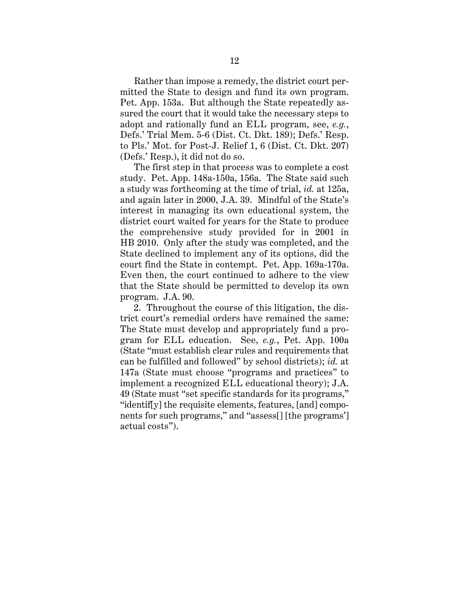Rather than impose a remedy, the district court permitted the State to design and fund its own program. Pet. App. 153a. But although the State repeatedly assured the court that it would take the necessary steps to adopt and rationally fund an ELL program, see, *e.g.*, Defs.' Trial Mem. 5-6 (Dist. Ct. Dkt. 189); Defs.' Resp. to Pls.' Mot. for Post-J. Relief 1, 6 (Dist. Ct. Dkt. 207) (Defs.' Resp.), it did not do so.

The first step in that process was to complete a cost study. Pet. App. 148a-150a, 156a.The State said such a study was forthcoming at the time of trial, *id.* at 125a, and again later in 2000, J.A. 39. Mindful of the State's interest in managing its own educational system, the district court waited for years for the State to produce the comprehensive study provided for in 2001 in HB 2010. Only after the study was completed, and the State declined to implement any of its options, did the court find the State in contempt. Pet. App. 169a-170a. Even then, the court continued to adhere to the view that the State should be permitted to develop its own program. J.A. 90.

2. Throughout the course of this litigation, the district court's remedial orders have remained the same: The State must develop and appropriately fund a program for ELL education. See, *e.g.*, Pet. App. 100a (State "must establish clear rules and requirements that can be fulfilled and followed" by school districts); *id.* at 147a (State must choose "programs and practices" to implement a recognized ELL educational theory); J.A. 49 (State must "set specific standards for its programs," "identif[y] the requisite elements, features, [and] components for such programs," and "assess[] [the programs'] actual costs").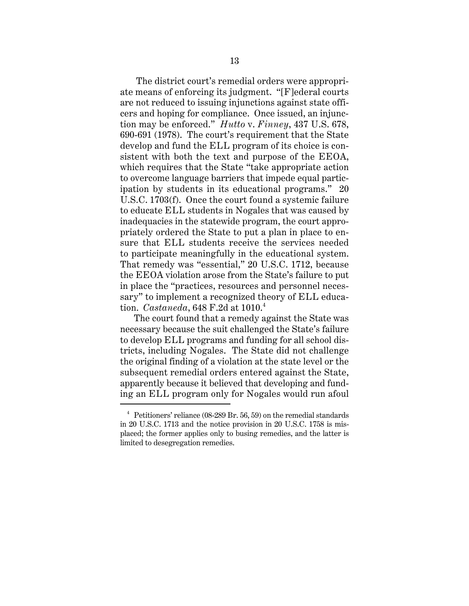The district court's remedial orders were appropriate means of enforcing its judgment. "[F]ederal courts are not reduced to issuing injunctions against state officers and hoping for compliance. Once issued, an injunction may be enforced." *Hutto* v. *Finney*, 437 U.S. 678, 690-691 (1978). The court's requirement that the State develop and fund the ELL program of its choice is consistent with both the text and purpose of the EEOA, which requires that the State "take appropriate action to overcome language barriers that impede equal participation by students in its educational programs." 20 U.S.C. 1703(f). Once the court found a systemic failure to educate ELL students in Nogales that was caused by inadequacies in the statewide program, the court appropriately ordered the State to put a plan in place to ensure that ELL students receive the services needed to participate meaningfully in the educational system. That remedy was "essential," 20 U.S.C. 1712, because the EEOA violation arose from the State's failure to put in place the "practices, resources and personnel necessary" to implement a recognized theory of ELL education. *Castaneda*, 648 F.2d at 1010.<sup>4</sup>

The court found that a remedy against the State was necessary because the suit challenged the State's failure to develop ELL programs and funding for all school districts, including Nogales. The State did not challenge the original finding of a violation at the state level or the subsequent remedial orders entered against the State, apparently because it believed that developing and funding an ELL program only for Nogales would run afoul

 $4$  Petitioners' reliance (08-289 Br. 56, 59) on the remedial standards in 20 U.S.C. 1713 and the notice provision in 20 U.S.C. 1758 is misplaced; the former applies only to busing remedies, and the latter is limited to desegregation remedies.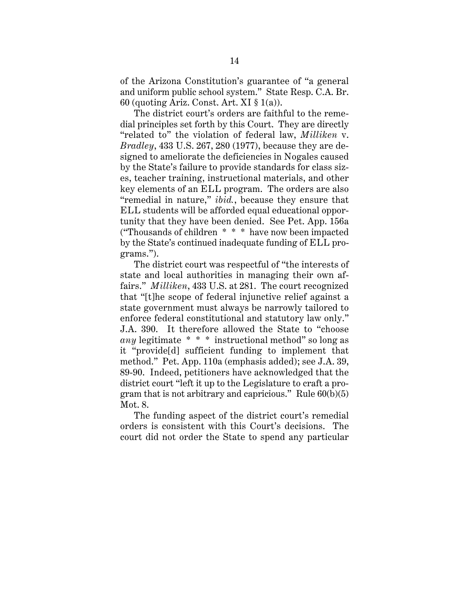of the Arizona Constitution's guarantee of "a general and uniform public school system." State Resp. C.A. Br. 60 (quoting Ariz. Const. Art. XI § 1(a)).

The district court's orders are faithful to the remedial principles set forth by this Court. They are directly "related to" the violation of federal law, *Milliken* v. *Bradley*, 433 U.S. 267, 280 (1977), because they are designed to ameliorate the deficiencies in Nogales caused by the State's failure to provide standards for class sizes, teacher training, instructional materials, and other key elements of an ELL program. The orders are also "remedial in nature," *ibid.*, because they ensure that ELL students will be afforded equal educational opportunity that they have been denied. See Pet. App. 156a ("Thousands of children \* \* \* have now been impacted by the State's continued inadequate funding of ELL programs.").

The district court was respectful of "the interests of state and local authorities in managing their own affairs." *Milliken*, 433 U.S. at 281. The court recognized that "[t]he scope of federal injunctive relief against a state government must always be narrowly tailored to enforce federal constitutional and statutory law only." J.A. 390. It therefore allowed the State to "choose *any* legitimate \* \* \* instructional method" so long as it "provide[d] sufficient funding to implement that method." Pet. App. 110a (emphasis added); see J.A. 39, 89-90. Indeed, petitioners have acknowledged that the district court "left it up to the Legislature to craft a program that is not arbitrary and capricious." Rule  $60(b)(5)$ Mot. 8.

The funding aspect of the district court's remedial orders is consistent with this Court's decisions. The court did not order the State to spend any particular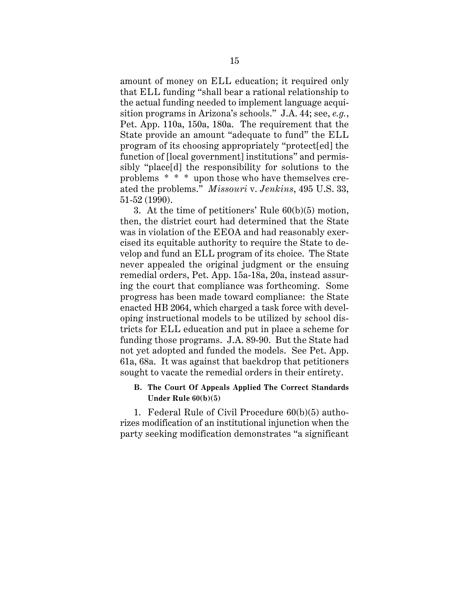amount of money on ELL education; it required only that ELL funding "shall bear a rational relationship to the actual funding needed to implement language acquisition programs in Arizona's schools." J.A. 44; see, *e.g.*, Pet. App. 110a, 150a, 180a. The requirement that the State provide an amount "adequate to fund" the ELL program of its choosing appropriately "protect[ed] the function of [local government] institutions" and permissibly "place[d] the responsibility for solutions to the problems \* \* \* upon those who have themselves created the problems." *Missouri* v. *Jenkins*, 495 U.S. 33, 51-52 (1990).

3. At the time of petitioners' Rule 60(b)(5) motion, then, the district court had determined that the State was in violation of the EEOA and had reasonably exercised its equitable authority to require the State to develop and fund an ELL program of its choice. The State never appealed the original judgment or the ensuing remedial orders, Pet. App. 15a-18a, 20a, instead assuring the court that compliance was forthcoming. Some progress has been made toward compliance: the State enacted HB 2064, which charged a task force with developing instructional models to be utilized by school districts for ELL education and put in place a scheme for funding those programs. J.A. 89-90. But the State had not yet adopted and funded the models. See Pet. App. 61a, 68a. It was against that backdrop that petitioners sought to vacate the remedial orders in their entirety.

# **B. The Court Of Appeals Applied The Correct Standards Under Rule 60(b)(5)**

1. Federal Rule of Civil Procedure 60(b)(5) authorizes modification of an institutional injunction when the party seeking modification demonstrates "a significant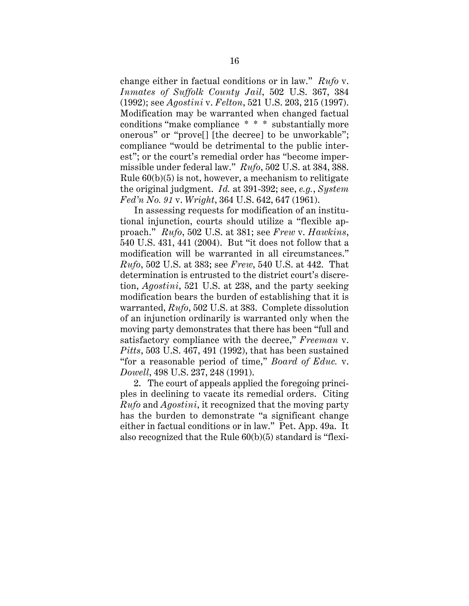change either in factual conditions or in law." *Rufo* v. *Inmates of Suffolk County Jail*, 502 U.S. 367, 384 (1992); see *Agostini* v. *Felton*, 521 U.S. 203, 215 (1997). Modification may be warranted when changed factual conditions "make compliance \* \* \* substantially more onerous" or "prove[] [the decree] to be unworkable"; compliance "would be detrimental to the public interest"; or the court's remedial order has "become impermissible under federal law." *Rufo*, 502 U.S. at 384, 388. Rule  $60(b)(5)$  is not, however, a mechanism to relitigate the original judgment. *Id.* at 391-392; see, *e.g.*, *System Fed'n No. 91* v. *Wright*, 364 U.S. 642, 647 (1961).

In assessing requests for modification of an institutional injunction, courts should utilize a "flexible approach." *Rufo*, 502 U.S. at 381; see *Frew* v. *Hawkins*, 540 U.S. 431, 441 (2004). But "it does not follow that a modification will be warranted in all circumstances." *Rufo*, 502 U.S. at 383; see *Frew*, 540 U.S. at 442. That determination is entrusted to the district court's discretion, *Agostini*, 521 U.S. at 238, and the party seeking modification bears the burden of establishing that it is warranted, *Rufo*, 502 U.S. at 383. Complete dissolution of an injunction ordinarily is warranted only when the moving party demonstrates that there has been "full and satisfactory compliance with the decree," *Freeman* v. *Pitts*, 503 U.S. 467, 491 (1992), that has been sustained "for a reasonable period of time," *Board of Educ.* v. *Dowell*, 498 U.S. 237, 248 (1991).

2. The court of appeals applied the foregoing principles in declining to vacate its remedial orders. Citing *Rufo* and *Agostini*, it recognized that the moving party has the burden to demonstrate "a significant change either in factual conditions or in law." Pet. App. 49a. It also recognized that the Rule 60(b)(5) standard is "flexi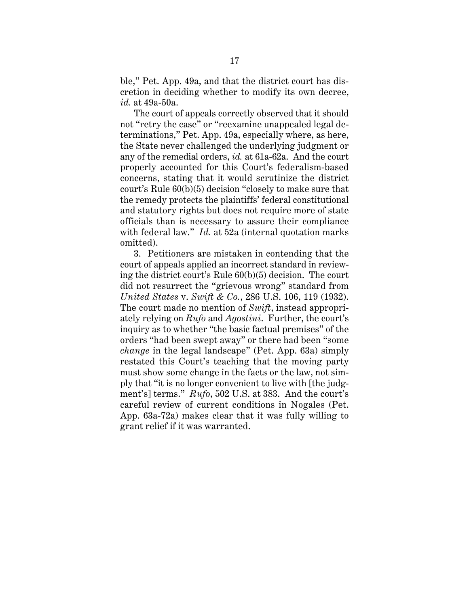ble," Pet. App. 49a, and that the district court has discretion in deciding whether to modify its own decree, *id.* at 49a-50a.

The court of appeals correctly observed that it should not "retry the case" or "reexamine unappealed legal determinations," Pet. App. 49a, especially where, as here, the State never challenged the underlying judgment or any of the remedial orders, *id.* at 61a-62a. And the court properly accounted for this Court's federalism-based concerns, stating that it would scrutinize the district court's Rule 60(b)(5) decision "closely to make sure that the remedy protects the plaintiffs' federal constitutional and statutory rights but does not require more of state officials than is necessary to assure their compliance with federal law." *Id.* at 52a (internal quotation marks omitted).

3. Petitioners are mistaken in contending that the court of appeals applied an incorrect standard in reviewing the district court's Rule 60(b)(5) decision. The court did not resurrect the "grievous wrong" standard from *United States* v. *Swift & Co.*, 286 U.S. 106, 119 (1932). The court made no mention of *Swift*, instead appropriately relying on *Rufo* and *Agostini*. Further, the court's inquiry as to whether "the basic factual premises" of the orders "had been swept away" or there had been "some *change* in the legal landscape" (Pet. App. 63a) simply restated this Court's teaching that the moving party must show some change in the facts or the law, not simply that "it is no longer convenient to live with [the judgment's] terms." *Rufo*, 502 U.S. at 383. And the court's careful review of current conditions in Nogales (Pet. App. 63a-72a) makes clear that it was fully willing to grant relief if it was warranted.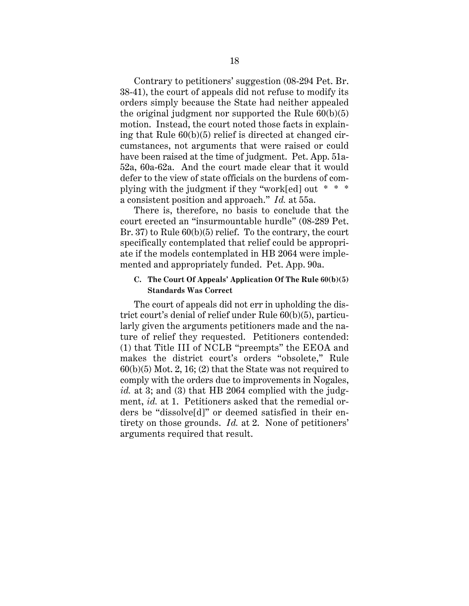Contrary to petitioners' suggestion (08-294 Pet. Br. 38-41), the court of appeals did not refuse to modify its orders simply because the State had neither appealed the original judgment nor supported the Rule  $60(b)(5)$ motion. Instead, the court noted those facts in explaining that Rule 60(b)(5) relief is directed at changed circumstances, not arguments that were raised or could have been raised at the time of judgment. Pet. App. 51a-52a, 60a-62a. And the court made clear that it would defer to the view of state officials on the burdens of complying with the judgment if they "work[ed] out \* \* \* a consistent position and approach." *Id.* at 55a.

There is, therefore, no basis to conclude that the court erected an "insurmountable hurdle" (08-289 Pet. Br. 37) to Rule  $60(b)(5)$  relief. To the contrary, the court specifically contemplated that relief could be appropriate if the models contemplated in HB 2064 were implemented and appropriately funded. Pet. App. 90a.

# **C. The Court Of Appeals' Application Of The Rule 60(b)(5) Standards Was Correct**

The court of appeals did not err in upholding the district court's denial of relief under Rule 60(b)(5), particularly given the arguments petitioners made and the nature of relief they requested. Petitioners contended: (1) that Title III of NCLB "preempts" the EEOA and makes the district court's orders "obsolete," Rule  $60(b)(5)$  Mot. 2, 16; (2) that the State was not required to comply with the orders due to improvements in Nogales, id. at 3; and (3) that HB 2064 complied with the judgment, *id.* at 1.Petitioners asked that the remedial orders be "dissolve[d]" or deemed satisfied in their entirety on those grounds. *Id.* at 2. None of petitioners' arguments required that result.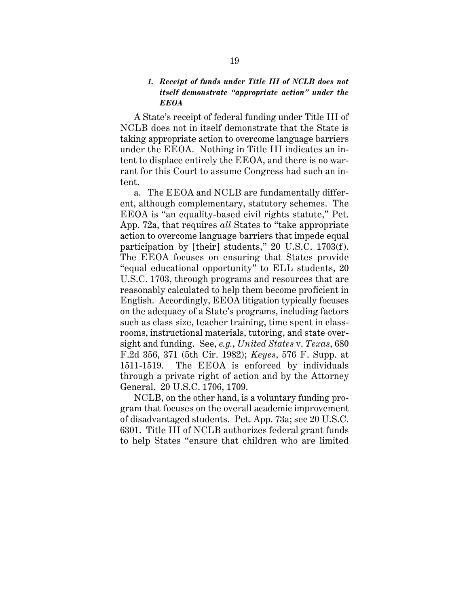# *1. Receipt of funds under Title III of NCLB does not itself demonstrate "appropriate action" under the EEOA*

A State's receipt of federal funding under Title III of NCLB does not in itself demonstrate that the State is taking appropriate action to overcome language barriers under the EEOA. Nothing in Title III indicates an intent to displace entirely the EEOA, and there is no warrant for this Court to assume Congress had such an intent.

a. The EEOA and NCLB are fundamentally different, although complementary, statutory schemes. The EEOA is "an equality-based civil rights statute," Pet. App. 72a, that requires *all* States to "take appropriate action to overcome language barriers that impede equal participation by [their] students," 20 U.S.C. 1703(f). The EEOA focuses on ensuring that States provide "equal educational opportunity" to ELL students, 20 U.S.C. 1703, through programs and resources that are reasonably calculated to help them become proficient in English. Accordingly, EEOA litigation typically focuses on the adequacy of a State's programs, including factors such as class size, teacher training, time spent in classrooms, instructional materials, tutoring, and state oversight and funding. See, *e.g.*, *United States* v. *Texas*, 680 F.2d 356, 371 (5th Cir. 1982); *Keyes*, 576 F. Supp. at 1511-1519. The EEOA is enforced by individuals through a private right of action and by the Attorney General. 20 U.S.C. 1706, 1709.

NCLB, on the other hand, is a voluntary funding program that focuses on the overall academic improvement of disadvantaged students. Pet. App. 73a; see 20 U.S.C. 6301. Title III of NCLB authorizes federal grant funds to help States "ensure that children who are limited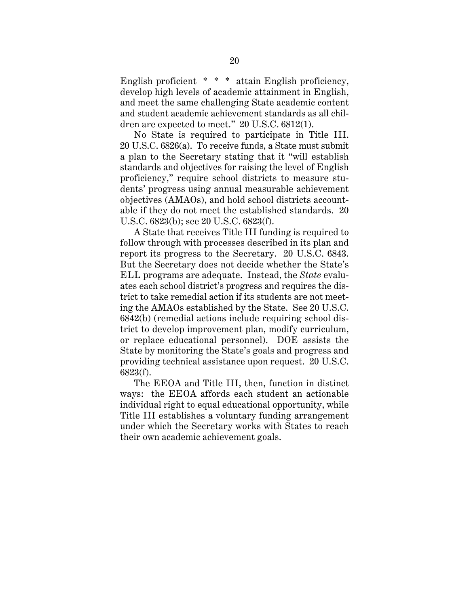English proficient \* \* \* attain English proficiency, develop high levels of academic attainment in English, and meet the same challenging State academic content and student academic achievement standards as all children are expected to meet." 20 U.S.C. 6812(1).

No State is required to participate in Title III. 20 U.S.C. 6826(a). To receive funds, a State must submit a plan to the Secretary stating that it "will establish standards and objectives for raising the level of English proficiency," require school districts to measure students' progress using annual measurable achievement objectives (AMAOs), and hold school districts accountable if they do not meet the established standards. 20 U.S.C. 6823(b); see 20 U.S.C. 6823(f).

 A State that receives Title III funding is required to follow through with processes described in its plan and report its progress to the Secretary. 20 U.S.C. 6843. But the Secretary does not decide whether the State's ELL programs are adequate. Instead, the *State* evaluates each school district's progress and requires the district to take remedial action if its students are not meeting the AMAOs established by the State. See 20 U.S.C. 6842(b) (remedial actions include requiring school district to develop improvement plan, modify curriculum, or replace educational personnel). DOE assists the State by monitoring the State's goals and progress and providing technical assistance upon request. 20 U.S.C. 6823(f).

The EEOA and Title III, then, function in distinct ways: the EEOA affords each student an actionable individual right to equal educational opportunity, while Title III establishes a voluntary funding arrangement under which the Secretary works with States to reach their own academic achievement goals.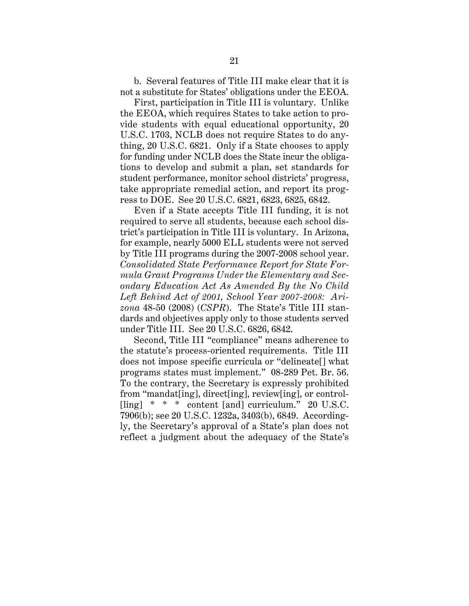b. Several features of Title III make clear that it is not a substitute for States' obligations under the EEOA.

 First, participation in Title III is voluntary. Unlike the EEOA, which requires States to take action to provide students with equal educational opportunity, 20 U.S.C. 1703, NCLB does not require States to do anything, 20 U.S.C. 6821. Only if a State chooses to apply for funding under NCLB does the State incur the obligations to develop and submit a plan, set standards for student performance, monitor school districts' progress, take appropriate remedial action, and report its progress to DOE. See 20 U.S.C. 6821, 6823, 6825, 6842.

Even if a State accepts Title III funding, it is not required to serve all students, because each school district's participation in Title III is voluntary. In Arizona, for example, nearly 5000 ELL students were not served by Title III programs during the 2007-2008 school year. *Consolidated State Performance Report for State Formula Grant Programs Under the Elementary and Secondary Education Act As Amended By the No Child Left Behind Act of 2001, School Year 2007-2008: Arizona* 48-50 (2008) (*CSPR*). The State's Title III standards and objectives apply only to those students served under Title III. See 20 U.S.C. 6826, 6842.

Second, Title III "compliance" means adherence to the statute's process-oriented requirements. Title III does not impose specific curricula or "delineate[] what programs states must implement." 08-289 Pet. Br. 56. To the contrary, the Secretary is expressly prohibited from "mandat[ing], direct[ing], review[ing], or control- [ling] \* \* \* content [and] curriculum." 20 U.S.C. 7906(b); see 20 U.S.C. 1232a, 3403(b), 6849. Accordingly, the Secretary's approval of a State's plan does not reflect a judgment about the adequacy of the State's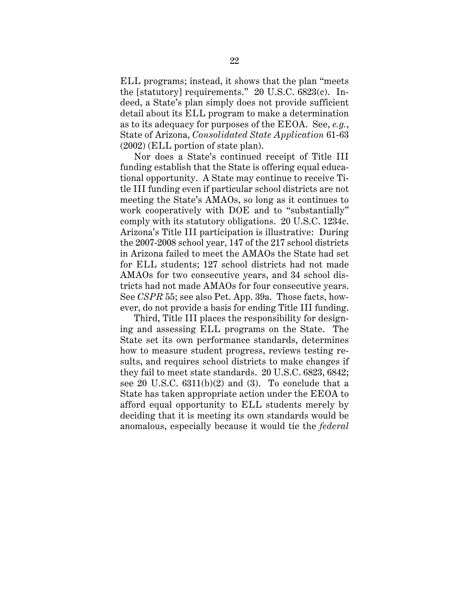ELL programs; instead, it shows that the plan "meets the [statutory] requirements." 20 U.S.C. 6823(c). Indeed, a State's plan simply does not provide sufficient detail about its ELL program to make a determination as to its adequacy for purposes of the EEOA. See, *e.g.*, State of Arizona, *Consolidated State Application* 61-63 (2002) (ELL portion of state plan).

Nor does a State's continued receipt of Title III funding establish that the State is offering equal educational opportunity. A State may continue to receive Title III funding even if particular school districts are not meeting the State's AMAOs, so long as it continues to work cooperatively with DOE and to "substantially" comply with its statutory obligations. 20 U.S.C. 1234c. Arizona's Title III participation is illustrative: During the 2007-2008 school year, 147 of the 217 school districts in Arizona failed to meet the AMAOs the State had set for ELL students; 127 school districts had not made AMAOs for two consecutive years, and 34 school districts had not made AMAOs for four consecutive years. See *CSPR* 55; see also Pet. App. 39a. Those facts, however, do not provide a basis for ending Title III funding.

Third, Title III places the responsibility for designing and assessing ELL programs on the State. The State set its own performance standards, determines how to measure student progress, reviews testing results, and requires school districts to make changes if they fail to meet state standards. 20 U.S.C. 6823, 6842; see 20 U.S.C.  $6311(b)(2)$  and  $(3)$ . To conclude that a State has taken appropriate action under the EEOA to afford equal opportunity to ELL students merely by deciding that it is meeting its own standards would be anomalous, especially because it would tie the *federal*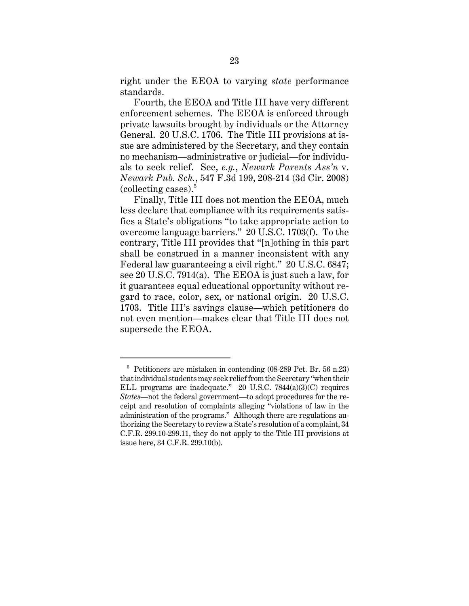right under the EEOA to varying *state* performance standards.

Fourth, the EEOA and Title III have very different enforcement schemes. The EEOA is enforced through private lawsuits brought by individuals or the Attorney General. 20 U.S.C. 1706. The Title III provisions at issue are administered by the Secretary, and they contain no mechanism—administrative or judicial—for individuals to seek relief. See, *e.g.*, *Newark Parents Ass'n* v. *Newark Pub. Sch.*, 547 F.3d 199, 208-214 (3d Cir. 2008) (collecting cases). $5$ 

Finally, Title III does not mention the EEOA, much less declare that compliance with its requirements satisfies a State's obligations "to take appropriate action to overcome language barriers." 20 U.S.C. 1703(f). To the contrary, Title III provides that "[n]othing in this part shall be construed in a manner inconsistent with any Federal law guaranteeing a civil right." 20 U.S.C. 6847; see 20 U.S.C. 7914(a). The EEOA is just such a law, for it guarantees equal educational opportunity without regard to race, color, sex, or national origin. 20 U.S.C. 1703. Title III's savings clause—which petitioners do not even mention—makes clear that Title III does not supersede the EEOA.

 $^5\,$  Petitioners are mistaken in contending (08-289 Pet. Br. 56 n.23) that individual students may seek relief from the Secretary "when their ELL programs are inadequate." 20 U.S.C. 7844(a)(3)(C) requires *States*—not the federal government—to adopt procedures for the receipt and resolution of complaints alleging "violations of law in the administration of the programs." Although there are regulations authorizing the Secretary to review a State's resolution of a complaint, 34 C.F.R. 299.10-299.11, they do not apply to the Title III provisions at issue here, 34 C.F.R. 299.10(b).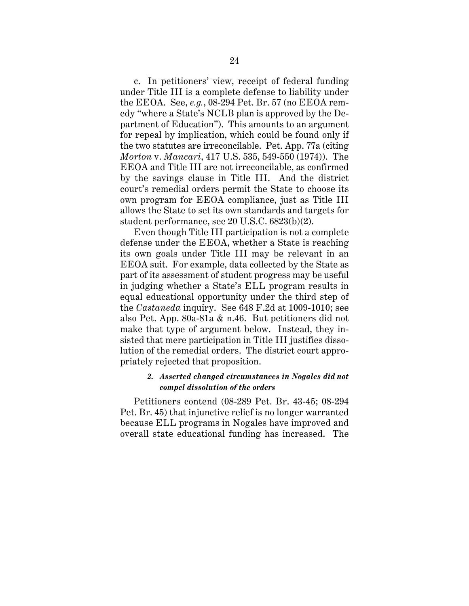c. In petitioners' view, receipt of federal funding under Title III is a complete defense to liability under the EEOA. See, *e.g.*, 08-294 Pet. Br. 57 (no EEOA remedy "where a State's NCLB plan is approved by the Department of Education"). This amounts to an argument for repeal by implication, which could be found only if the two statutes are irreconcilable. Pet. App. 77a (citing *Morton* v. *Mancari*, 417 U.S. 535, 549-550 (1974)). The EEOA and Title III are not irreconcilable, as confirmed by the savings clause in Title III. And the district court's remedial orders permit the State to choose its own program for EEOA compliance, just as Title III allows the State to set its own standards and targets for student performance, see 20 U.S.C. 6823(b)(2).

Even though Title III participation is not a complete defense under the EEOA, whether a State is reaching its own goals under Title III may be relevant in an EEOA suit. For example, data collected by the State as part of its assessment of student progress may be useful in judging whether a State's ELL program results in equal educational opportunity under the third step of the *Castaneda* inquiry. See 648 F.2d at 1009-1010; see also Pet. App. 80a-81a & n.46. But petitioners did not make that type of argument below. Instead, they insisted that mere participation in Title III justifies dissolution of the remedial orders. The district court appropriately rejected that proposition.

# *2. Asserted changed circumstances in Nogales did not compel dissolution of the orders*

Petitioners contend (08-289 Pet. Br. 43-45; 08-294 Pet. Br. 45) that injunctive relief is no longer warranted because ELL programs in Nogales have improved and overall state educational funding has increased. The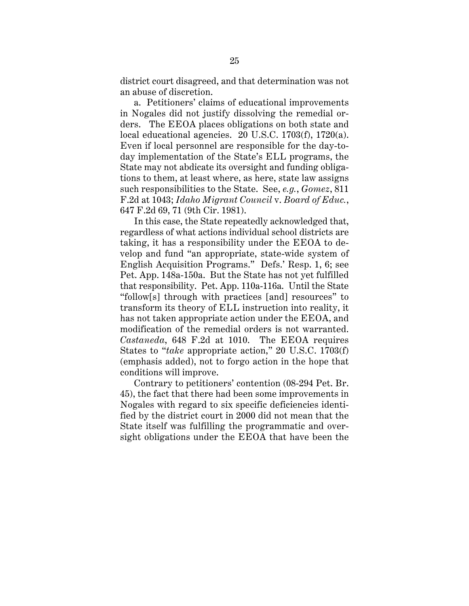district court disagreed, and that determination was not an abuse of discretion.

a. Petitioners' claims of educational improvements in Nogales did not justify dissolving the remedial orders. The EEOA places obligations on both state and local educational agencies. 20 U.S.C. 1703(f), 1720(a). Even if local personnel are responsible for the day-today implementation of the State's ELL programs, the State may not abdicate its oversight and funding obligations to them, at least where, as here, state law assigns such responsibilities to the State. See, *e.g.*, *Gomez*, 811 F.2d at 1043; *Idaho Migrant Council* v. *Board of Educ.*, 647 F.2d 69, 71 (9th Cir. 1981).

In this case, the State repeatedly acknowledged that, regardless of what actions individual school districts are taking, it has a responsibility under the EEOA to develop and fund "an appropriate, state-wide system of English Acquisition Programs." Defs.' Resp. 1, 6; see Pet. App. 148a-150a. But the State has not yet fulfilled that responsibility. Pet. App. 110a-116a. Until the State "follow[s] through with practices [and] resources" to transform its theory of ELL instruction into reality, it has not taken appropriate action under the EEOA, and modification of the remedial orders is not warranted. *Castaneda*, 648 F.2d at 1010. The EEOA requires States to "*take* appropriate action," 20 U.S.C. 1703(f) (emphasis added), not to forgo action in the hope that conditions will improve.

Contrary to petitioners' contention (08-294 Pet. Br. 45), the fact that there had been some improvements in Nogales with regard to six specific deficiencies identified by the district court in 2000 did not mean that the State itself was fulfilling the programmatic and oversight obligations under the EEOA that have been the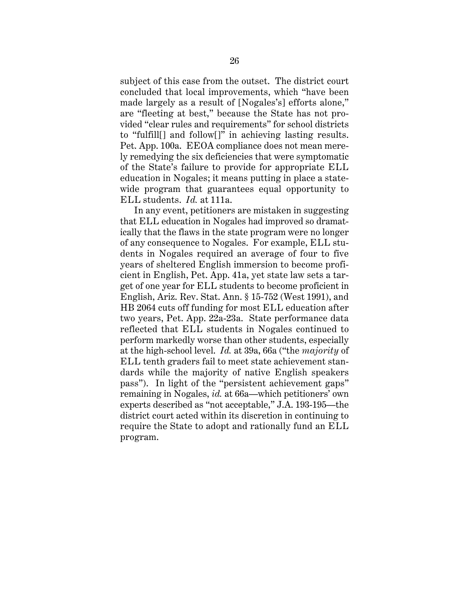subject of this case from the outset. The district court concluded that local improvements, which "have been made largely as a result of [Nogales's] efforts alone," are "fleeting at best," because the State has not provided "clear rules and requirements" for school districts to "fulfill[] and follow[]" in achieving lasting results. Pet. App. 100a. EEOA compliance does not mean merely remedying the six deficiencies that were symptomatic of the State's failure to provide for appropriate ELL education in Nogales; it means putting in place a statewide program that guarantees equal opportunity to ELL students. *Id.* at 111a.

In any event, petitioners are mistaken in suggesting that ELL education in Nogales had improved so dramatically that the flaws in the state program were no longer of any consequence to Nogales. For example, ELL students in Nogales required an average of four to five years of sheltered English immersion to become proficient in English, Pet. App. 41a, yet state law sets a target of one year for ELL students to become proficient in English, Ariz. Rev. Stat. Ann. § 15-752 (West 1991), and HB 2064 cuts off funding for most ELL education after two years, Pet. App. 22a-23a. State performance data reflected that ELL students in Nogales continued to perform markedly worse than other students, especially at the high-school level. *Id.* at 39a, 66a ("the *majority* of ELL tenth graders fail to meet state achievement standards while the majority of native English speakers pass"). In light of the "persistent achievement gaps" remaining in Nogales, *id.* at 66a—which petitioners' own experts described as "not acceptable," J.A. 193-195—the district court acted within its discretion in continuing to require the State to adopt and rationally fund an ELL program.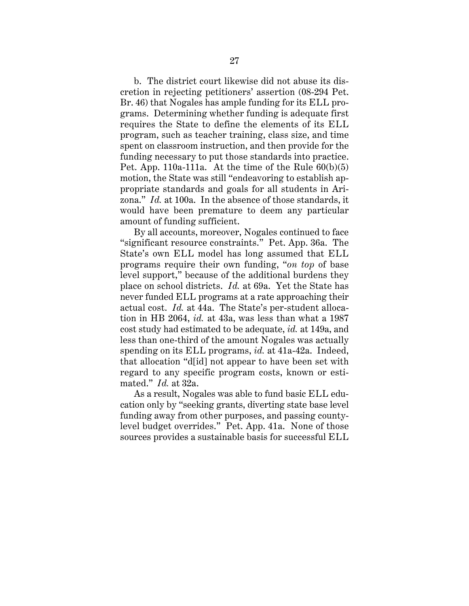b. The district court likewise did not abuse its discretion in rejecting petitioners' assertion (08-294 Pet. Br. 46) that Nogales has ample funding for its ELL programs. Determining whether funding is adequate first requires the State to define the elements of its ELL program, such as teacher training, class size, and time spent on classroom instruction, and then provide for the funding necessary to put those standards into practice. Pet. App. 110a-111a. At the time of the Rule  $60(b)(5)$ motion, the State was still "endeavoring to establish appropriate standards and goals for all students in Arizona." *Id.* at 100a. In the absence of those standards, it would have been premature to deem any particular amount of funding sufficient.

By all accounts, moreover, Nogales continued to face "significant resource constraints." Pet. App. 36a. The State's own ELL model has long assumed that ELL programs require their own funding, "*on top* of base level support," because of the additional burdens they place on school districts. *Id.* at 69a. Yet the State has never funded ELL programs at a rate approaching their actual cost. *Id.* at 44a. The State's per-student allocation in HB 2064, *id.* at 43a, was less than what a 1987 cost study had estimated to be adequate, *id.* at 149a, and less than one-third of the amount Nogales was actually spending on its ELL programs, *id.* at 41a-42a. Indeed, that allocation "d[id] not appear to have been set with regard to any specific program costs, known or estimated." *Id.* at 32a.

As a result, Nogales was able to fund basic ELL education only by "seeking grants, diverting state base level funding away from other purposes, and passing countylevel budget overrides." Pet. App. 41a. None of those sources provides a sustainable basis for successful ELL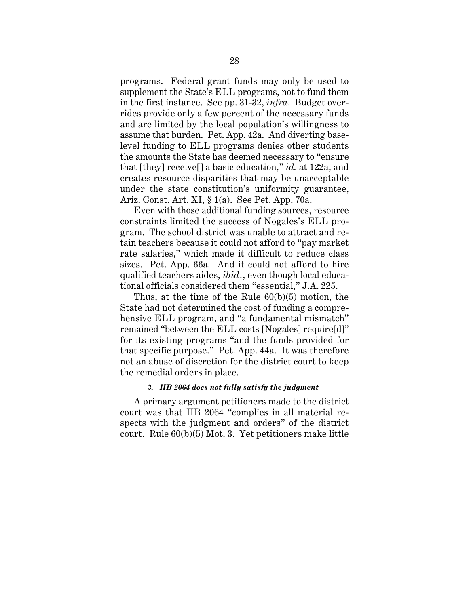programs. Federal grant funds may only be used to supplement the State's ELL programs, not to fund them in the first instance. See pp. 31-32, *infra*. Budget overrides provide only a few percent of the necessary funds and are limited by the local population's willingness to assume that burden. Pet. App. 42a. And diverting baselevel funding to ELL programs denies other students the amounts the State has deemed necessary to "ensure that [they] receive[] a basic education," *id.* at 122a, and creates resource disparities that may be unacceptable under the state constitution's uniformity guarantee, Ariz. Const. Art. XI, § 1(a). See Pet. App. 70a.

Even with those additional funding sources, resource constraints limited the success of Nogales's ELL program. The school district was unable to attract and retain teachers because it could not afford to "pay market rate salaries," which made it difficult to reduce class sizes. Pet. App. 66a. And it could not afford to hire qualified teachers aides, *ibid.*, even though local educational officials considered them "essential," J.A. 225.

Thus, at the time of the Rule 60(b)(5) motion, the State had not determined the cost of funding a comprehensive ELL program, and "a fundamental mismatch" remained "between the ELL costs [Nogales] require[d]" for its existing programs "and the funds provided for that specific purpose." Pet. App. 44a. It was therefore not an abuse of discretion for the district court to keep the remedial orders in place.

# *3. HB 2064 does not fully satisfy the judgment*

A primary argument petitioners made to the district court was that HB 2064 "complies in all material respects with the judgment and orders" of the district court. Rule 60(b)(5) Mot. 3. Yet petitioners make little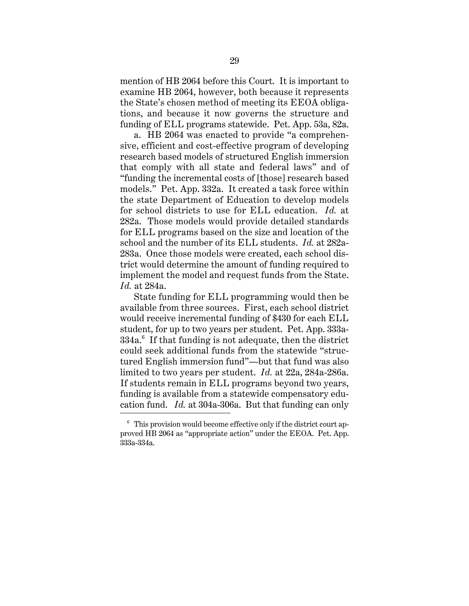mention of HB 2064 before this Court. It is important to examine HB 2064, however, both because it represents the State's chosen method of meeting its EEOA obligations, and because it now governs the structure and funding of ELL programs statewide. Pet. App. 53a, 82a.

a. HB 2064 was enacted to provide "a comprehensive, efficient and cost-effective program of developing research based models of structured English immersion that comply with all state and federal laws" and of "funding the incremental costs of [those] research based models." Pet. App. 332a. It created a task force within the state Department of Education to develop models for school districts to use for ELL education. *Id.* at 282a. Those models would provide detailed standards for ELL programs based on the size and location of the school and the number of its ELL students. *Id.* at 282a-283a. Once those models were created, each school district would determine the amount of funding required to implement the model and request funds from the State. *Id.* at 284a.

State funding for ELL programming would then be available from three sources. First, each school district would receive incremental funding of \$430 for each ELL student, for up to two years per student. Pet. App. 333a- $334a$ . $^6$  If that funding is not adequate, then the district could seek additional funds from the statewide "structured English immersion fund"—but that fund was also limited to two years per student. *Id.* at 22a, 284a-286a. If students remain in ELL programs beyond two years, funding is available from a statewide compensatory education fund. *Id.* at 304a-306a. But that funding can only

 $6\degree$  This provision would become effective only if the district court approved HB 2064 as "appropriate action" under the EEOA. Pet. App. 333a-334a.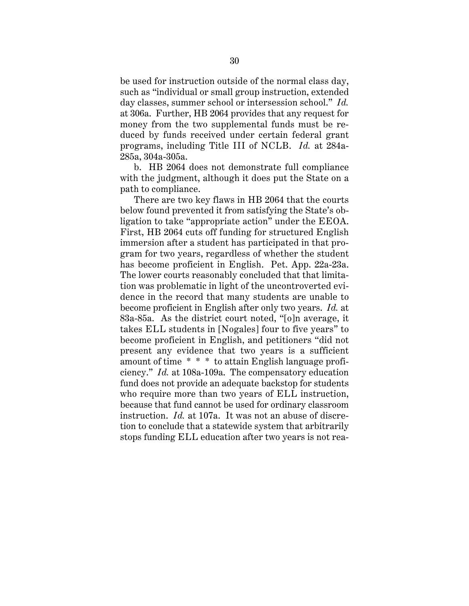be used for instruction outside of the normal class day, such as "individual or small group instruction, extended day classes, summer school or intersession school." *Id.* at 306a. Further, HB 2064 provides that any request for money from the two supplemental funds must be reduced by funds received under certain federal grant programs, including Title III of NCLB. *Id.* at 284a-285a, 304a-305a.

b. HB 2064 does not demonstrate full compliance with the judgment, although it does put the State on a path to compliance.

There are two key flaws in HB 2064 that the courts below found prevented it from satisfying the State's obligation to take "appropriate action" under the EEOA. First, HB 2064 cuts off funding for structured English immersion after a student has participated in that program for two years, regardless of whether the student has become proficient in English. Pet. App. 22a-23a. The lower courts reasonably concluded that that limitation was problematic in light of the uncontroverted evidence in the record that many students are unable to become proficient in English after only two years. *Id.* at 83a-85a. As the district court noted, "[o]n average, it takes ELL students in [Nogales] four to five years" to become proficient in English, and petitioners "did not present any evidence that two years is a sufficient amount of time \* \* \* to attain English language proficiency." *Id.* at 108a-109a. The compensatory education fund does not provide an adequate backstop for students who require more than two years of ELL instruction, because that fund cannot be used for ordinary classroom instruction. *Id.* at 107a. It was not an abuse of discretion to conclude that a statewide system that arbitrarily stops funding ELL education after two years is not rea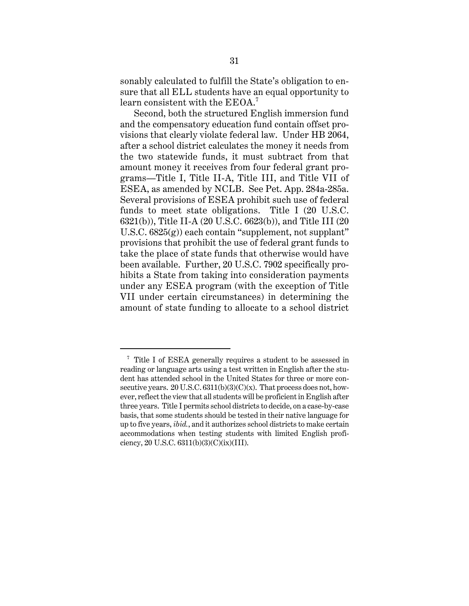sonably calculated to fulfill the State's obligation to ensure that all ELL students have an equal opportunity to learn consistent with the EEOA.<sup>7</sup>

Second, both the structured English immersion fund and the compensatory education fund contain offset provisions that clearly violate federal law. Under HB 2064, after a school district calculates the money it needs from the two statewide funds, it must subtract from that amount money it receives from four federal grant programs—Title I, Title II-A, Title III, and Title VII of ESEA, as amended by NCLB. See Pet. App. 284a-285a. Several provisions of ESEA prohibit such use of federal funds to meet state obligations. Title I (20 U.S.C. 6321(b)), Title II-A (20 U.S.C. 6623(b)), and Title III (20 U.S.C. 6825(g)) each contain "supplement, not supplant" provisions that prohibit the use of federal grant funds to take the place of state funds that otherwise would have been available. Further, 20 U.S.C. 7902 specifically prohibits a State from taking into consideration payments under any ESEA program (with the exception of Title VII under certain circumstances) in determining the amount of state funding to allocate to a school district

<sup>7</sup> Title I of ESEA generally requires a student to be assessed in reading or language arts using a test written in English after the student has attended school in the United States for three or more consecutive years. 20 U.S.C.  $6311(b)(3)(C)(x)$ . That process does not, however, reflect the view that all students will be proficient in English after three years. Title I permits school districts to decide, on a case-by-case basis, that some students should be tested in their native language for up to five years, *ibid.*, and it authorizes school districts to make certain accommodations when testing students with limited English proficiency, 20 U.S.C.  $6311(b)(3)(C)(ix)(III)$ .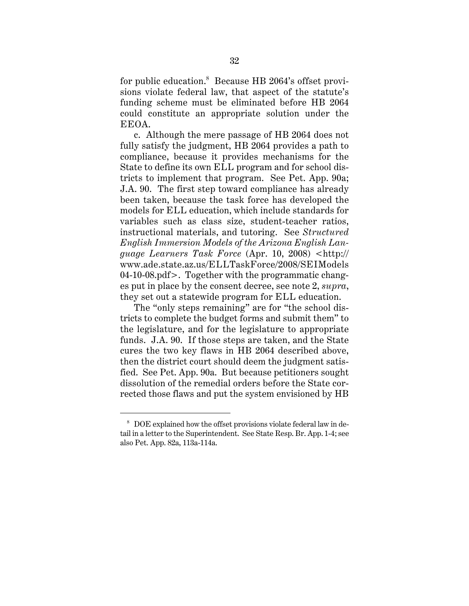for public education.<sup>8</sup> Because HB 2064's offset provisions violate federal law, that aspect of the statute's funding scheme must be eliminated before HB 2064 could constitute an appropriate solution under the EEOA.

c. Although the mere passage of HB 2064 does not fully satisfy the judgment, HB 2064 provides a path to compliance, because it provides mechanisms for the State to define its own ELL program and for school districts to implement that program. See Pet. App. 90a; J.A. 90. The first step toward compliance has already been taken, because the task force has developed the models for ELL education, which include standards for variables such as class size, student-teacher ratios, instructional materials, and tutoring. See *Structured English Immersion Models of the Arizona English Language Learners Task Force* (Apr. 10, 2008) <http:// www.ade.state.az.us/ELLTaskForce/2008/SEIModels 04-10-08.pdf>. Together with the programmatic changes put in place by the consent decree, see note 2, *supra*, they set out a statewide program for ELL education.

The "only steps remaining" are for "the school districts to complete the budget forms and submit them" to the legislature, and for the legislature to appropriate funds. J.A. 90. If those steps are taken, and the State cures the two key flaws in HB 2064 described above, then the district court should deem the judgment satisfied. See Pet. App. 90a. But because petitioners sought dissolution of the remedial orders before the State corrected those flaws and put the system envisioned by HB

<sup>8</sup> DOE explained how the offset provisions violate federal law in detail in a letter to the Superintendent. See State Resp. Br. App. 1-4; see also Pet. App. 82a, 113a-114a.